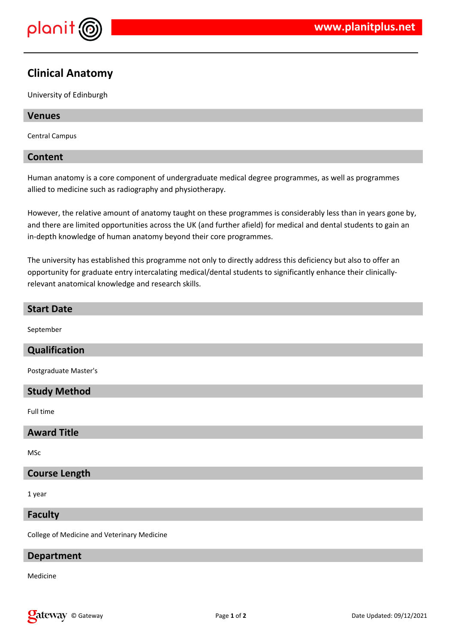

# **Clinical Anatomy**

University of Edinburgh

## **Venues**

Central Campus

## **Content**

Human anatomy is a core component of undergraduate medical degree programmes, as well as programmes allied to medicine such as radiography and physiotherapy.

However, the relative amount of anatomy taught on these programmes is considerably less than in years gone by, and there are limited opportunities across the UK (and further afield) for medical and dental students to gain an in-depth knowledge of human anatomy beyond their core programmes.

The university has established this programme not only to directly address this deficiency but also to offer an opportunity for graduate entry intercalating medical/dental students to significantly enhance their clinicallyrelevant anatomical knowledge and research skills.

## **Start Date**

September

## **Qualification**

Postgraduate Master's

## **Study Method**

Full time

#### **Award Title**

MSc

#### **Course Length**

1 year

## **Faculty**

College of Medicine and Veterinary Medicine

#### **Department**

Medicine